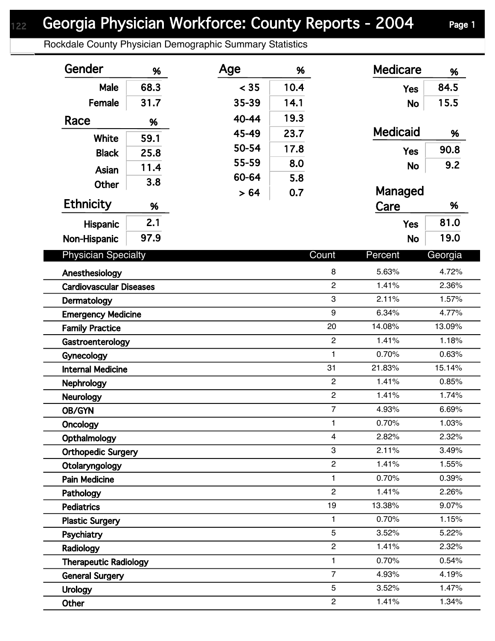## Georgia Physician Workforce: County Reports - 2004 Page 1

Rockdale County Physician Demographic Summary Statistics

| Gender                         | %    | Age   | %            |                | <b>Medicare</b> | %       |  |
|--------------------------------|------|-------|--------------|----------------|-----------------|---------|--|
| Male                           | 68.3 | < 35  | 10.4         |                | <b>Yes</b>      | 84.5    |  |
| Female                         | 31.7 | 35-39 | 14.1         |                | <b>No</b>       | 15.5    |  |
| Race                           | %    | 40-44 | 19.3         |                |                 |         |  |
|                                |      | 45-49 | 23.7         |                | <b>Medicaid</b> | %       |  |
| White                          | 59.1 | 50-54 | 17.8         |                | <b>Yes</b>      | 90.8    |  |
| <b>Black</b>                   | 25.8 | 55-59 | 8.0          |                |                 | 9.2     |  |
| Asian                          | 11.4 | 60-64 | 5.8          |                | <b>No</b>       |         |  |
| <b>Other</b>                   | 3.8  | > 64  | 0.7          |                | Managed         |         |  |
| <b>Ethnicity</b>               | %    |       |              |                | Care            | %       |  |
| Hispanic                       | 2.1  |       |              |                | <b>Yes</b>      | 81.0    |  |
| Non-Hispanic                   | 97.9 |       |              |                | <b>No</b>       | 19.0    |  |
| <b>Physician Specialty</b>     |      |       |              | Count          | Percent         | Georgia |  |
| Anesthesiology                 |      |       |              | 8              | 5.63%           | 4.72%   |  |
| <b>Cardiovascular Diseases</b> |      |       |              | $\overline{2}$ | 1.41%           | 2.36%   |  |
| Dermatology                    |      |       |              | 3              | 2.11%           | 1.57%   |  |
| <b>Emergency Medicine</b>      |      |       |              | 9              | 6.34%           | 4.77%   |  |
| <b>Family Practice</b>         |      |       |              | 20             | 14.08%          | 13.09%  |  |
| Gastroenterology               |      |       |              | $\overline{2}$ | 1.41%           | 1.18%   |  |
| Gynecology                     |      |       |              | $\mathbf{1}$   | 0.70%           | 0.63%   |  |
| <b>Internal Medicine</b>       |      |       |              | 31             | 21.83%          | 15.14%  |  |
| <b>Nephrology</b>              |      |       |              | $\overline{c}$ | 1.41%           | 0.85%   |  |
| <b>Neurology</b>               |      |       |              | $\overline{2}$ | 1.41%           | 1.74%   |  |
| OB/GYN                         |      |       |              | $\overline{7}$ | 4.93%           | 6.69%   |  |
| Oncology                       |      |       | $\mathbf{1}$ | 0.70%          | 1.03%           |         |  |
| Opthalmology                   |      |       | 4            | 2.82%          | 2.32%           |         |  |
| <b>Orthopedic Surgery</b>      |      |       | 3            | 2.11%          | 3.49%           |         |  |
| Otolaryngology                 |      |       |              | $\overline{c}$ | 1.41%           | 1.55%   |  |
| <b>Pain Medicine</b>           |      |       |              | $\mathbf{1}$   | 0.70%           | 0.39%   |  |
| Pathology                      |      |       |              | $\overline{2}$ | 1.41%           | 2.26%   |  |
| <b>Pediatrics</b>              |      |       |              | 19             | 13.38%          | 9.07%   |  |
| <b>Plastic Surgery</b>         |      |       |              | $\mathbf{1}$   | 0.70%           | 1.15%   |  |
| Psychiatry                     |      |       |              | 5              | 3.52%           | 5.22%   |  |
| Radiology                      |      |       |              | $\overline{c}$ | 1.41%           | 2.32%   |  |
| <b>Therapeutic Radiology</b>   |      |       | $\mathbf{1}$ | 0.70%          | 0.54%           |         |  |
| <b>General Surgery</b>         |      |       |              | $\overline{7}$ | 4.93%           | 4.19%   |  |
| <b>Urology</b>                 |      |       |              | 5              | 3.52%           | 1.47%   |  |
| Other                          |      |       |              | $\overline{c}$ | 1.41%           | 1.34%   |  |